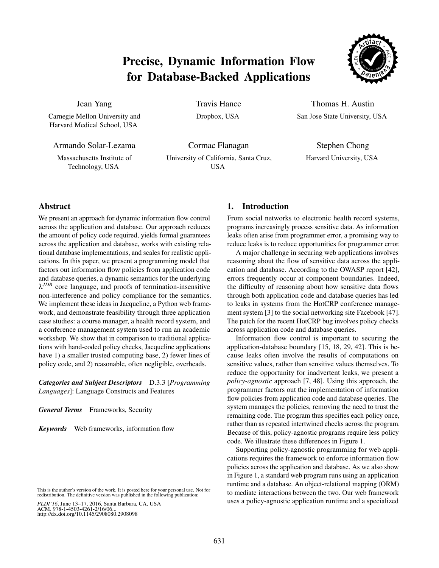# Precise, Dynamic Information Flow for Database-Backed Applications



Jean Yang

Carnegie Mellon University and Harvard Medical School, USA

Armando Solar-Lezama

Massachusetts Institute of Technology, USA

Travis Hance Dropbox, USA

Thomas H. Austin San Jose State University, USA

Stephen Chong Harvard University, USA

Cormac Flanagan University of California, Santa Cruz, USA

## Abstract

We present an approach for dynamic information flow control across the application and database. Our approach reduces the amount of policy code required, yields formal guarantees across the application and database, works with existing relational database implementations, and scales for realistic applications. In this paper, we present a programming model that factors out information flow policies from application code and database queries, a dynamic semantics for the underlying λ*JDB* core language, and proofs of termination-insensitive non-interference and policy compliance for the semantics. We implement these ideas in Jacqueline, a Python web framework, and demonstrate feasibility through three application case studies: a course manager, a health record system, and a conference management system used to run an academic workshop. We show that in comparison to traditional applications with hand-coded policy checks, Jacqueline applications have 1) a smaller trusted computing base, 2) fewer lines of policy code, and 2) reasonable, often negligible, overheads.

*Categories and Subject Descriptors* D.3.3 [*Programming Languages*]: Language Constructs and Features

*General Terms* Frameworks, Security

*Keywords* Web frameworks, information flow

*PLDI'16*, June 13–17, 2016, Santa Barbara, CA, USA ACM. 978-1-4503-4261-2/16/06... http://dx.doi.org/10.1145/2908080.2908098

## 1. Introduction

From social networks to electronic health record systems, programs increasingly process sensitive data. As information leaks often arise from programmer error, a promising way to reduce leaks is to reduce opportunities for programmer error.

A major challenge in securing web applications involves reasoning about the flow of sensitive data across the application and database. According to the OWASP report [42], errors frequently occur at component boundaries. Indeed, the difficulty of reasoning about how sensitive data flows through both application code and database queries has led to leaks in systems from the HotCRP conference management system [3] to the social networking site Facebook [47]. The patch for the recent HotCRP bug involves policy checks across application code and database queries.

Information flow control is important to securing the application-database boundary [15, 18, 29, 42]. This is because leaks often involve the results of computations on sensitive values, rather than sensitive values themselves. To reduce the opportunity for inadvertent leaks, we present a *policy-agnostic* approach [7, 48]. Using this approach, the programmer factors out the implementation of information flow policies from application code and database queries. The system manages the policies, removing the need to trust the remaining code. The program thus specifies each policy once, rather than as repeated intertwined checks across the program. Because of this, policy-agnostic programs require less policy code. We illustrate these differences in Figure 1.

Supporting policy-agnostic programming for web applications requires the framework to enforce information flow policies across the application and database. As we also show in Figure 1, a standard web program runs using an application runtime and a database. An object-relational mapping (ORM) to mediate interactions between the two. Our web framework uses a policy-agnostic application runtime and a specialized

This is the author's version of the work. It is posted here for your personal use. Not for redistribution. The definitive version was published in the following publication: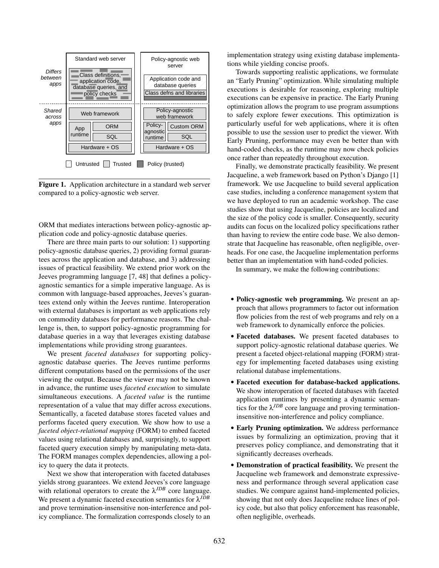

Figure 1. Application architecture in a standard web server compared to a policy-agnostic web server.

ORM that mediates interactions between policy-agnostic application code and policy-agnostic database queries.

There are three main parts to our solution: 1) supporting policy-agnostic database queries, 2) providing formal guarantees across the application and database, and 3) addressing issues of practical feasibility. We extend prior work on the Jeeves programming language [7, 48] that defines a policyagnostic semantics for a simple imperative language. As is common with language-based approaches, Jeeves's guarantees extend only within the Jeeves runtime. Interoperation with external databases is important as web applications rely on commodity databases for performance reasons. The challenge is, then, to support policy-agnostic programming for database queries in a way that leverages existing database implementations while providing strong guarantees.

We present *faceted databases* for supporting policyagnostic database queries. The Jeeves runtime performs different computations based on the permissions of the user viewing the output. Because the viewer may not be known in advance, the runtime uses *faceted execution* to simulate simultaneous executions. A *faceted value* is the runtime representation of a value that may differ across executions. Semantically, a faceted database stores faceted values and performs faceted query execution. We show how to use a *faceted object-relational mapping* (FORM) to embed faceted values using relational databases and, surprisingly, to support faceted query execution simply by manipulating meta-data. The FORM manages complex dependencies, allowing a policy to query the data it protects.

Next we show that interoperation with faceted databases yields strong guarantees. We extend Jeeves's core language with relational operators to create the  $\lambda^{JDB}$  core language. We present a dynamic faceted execution semantics for λ*JDB* and prove termination-insensitive non-interference and policy compliance. The formalization corresponds closely to an

implementation strategy using existing database implementations while yielding concise proofs.

Towards supporting realistic applications, we formulate an "Early Pruning" optimization. While simulating multiple executions is desirable for reasoning, exploring multiple executions can be expensive in practice. The Early Pruning optimization allows the program to use program assumptions to safely explore fewer executions. This optimization is particularly useful for web applications, where it is often possible to use the session user to predict the viewer. With Early Pruning, performance may even be better than with hand-coded checks, as the runtime may now check policies once rather than repeatedly throughout execution.

Finally, we demonstrate practically feasibility. We present Jacqueline, a web framework based on Python's Django [1] framework. We use Jacqueline to build several application case studies, including a conference management system that we have deployed to run an academic workshop. The case studies show that using Jacqueline, policies are localized and the size of the policy code is smaller. Consequently, security audits can focus on the localized policy specifications rather than having to review the entire code base. We also demonstrate that Jacqueline has reasonable, often negligible, overheads. For one case, the Jacqueline implementation performs better than an implementation with hand-coded policies.

In summary, we make the following contributions:

- Policy-agnostic web programming. We present an approach that allows programmers to factor out information flow policies from the rest of web programs and rely on a web framework to dynamically enforce the policies.
- Faceted databases. We present faceted databases to support policy-agnostic relational database queries. We present a faceted object-relational mapping (FORM) strategy for implementing faceted databases using existing relational database implementations.
- Faceted execution for database-backed applications. We show interoperation of faceted databases with faceted application runtimes by presenting a dynamic semantics for the  $\lambda^{JDB}$  core language and proving terminationinsensitive non-interference and policy compliance.
- Early Pruning optimization. We address performance issues by formalizing an optimization, proving that it preserves policy compliance, and demonstrating that it significantly decreases overheads.
- Demonstration of practical feasibility. We present the Jacqueline web framework and demonstrate expressiveness and performance through several application case studies. We compare against hand-implemented policies, showing that not only does Jacqueline reduce lines of policy code, but also that policy enforcement has reasonable, often negligible, overheads.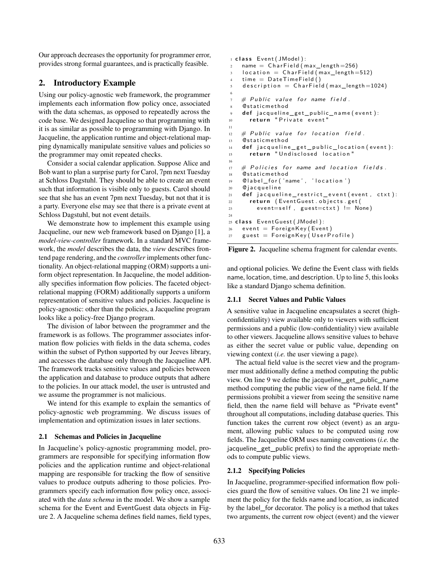Our approach decreases the opportunity for programmer error, provides strong formal guarantees, and is practically feasible.

# 2. Introductory Example

Using our policy-agnostic web framework, the programmer implements each information flow policy once, associated with the data schemas, as opposed to repeatedly across the code base. We designed Jacqueline so that programming with it is as similar as possible to programming with Django. In Jacqueline, the application runtime and object-relational mapping dynamically manipulate sensitive values and policies so the programmer may omit repeated checks.

Consider a social calendar application. Suppose Alice and Bob want to plan a surprise party for Carol, 7pm next Tuesday at Schloss Dagstuhl. They should be able to create an event such that information is visible only to guests. Carol should see that she has an event 7pm next Tuesday, but not that it is a party. Everyone else may see that there is a private event at Schloss Dagstuhl, but not event details.

We demonstrate how to implement this example using Jacqueline, our new web framework based on Django [1], a *model-view-controller* framework. In a standard MVC framework, the *model* describes the data, the *view* describes frontend page rendering, and the *controller* implements other functionality. An object-relational mapping (ORM) supports a uniform object representation. In Jacqueline, the model additionally specifies information flow policies. The faceted objectrelational mapping (FORM) additionally supports a uniform representation of sensitive values and policies. Jacqueline is policy-agnostic: other than the policies, a Jacqueline program looks like a policy-free Django program.

The division of labor between the programmer and the framework is as follows. The programmer associates information flow policies with fields in the data schema, codes within the subset of Python supported by our Jeeves library, and accesses the database only through the Jacqueline API. The framework tracks sensitive values and policies between the application and database to produce outputs that adhere to the policies. In our attack model, the user is untrusted and we assume the programmer is not malicious.

We intend for this example to explain the semantics of policy-agnostic web programming. We discuss issues of implementation and optimization issues in later sections.

## 2.1 Schemas and Policies in Jacqueline

In Jacqueline's policy-agnostic programming model, programmers are responsible for specifying information flow policies and the application runtime and object-relational mapping are responsible for tracking the flow of sensitive values to produce outputs adhering to those policies. Programmers specify each information flow policy once, associated with the *data schema* in the model. We show a sample schema for the Event and EventGuest data objects in Figure 2. A Jacqueline schema defines field names, field types,

```
1 class Event ( JModel ):
2 name = CharField (max_length=256)
3 location = CharField (max_length=512)
4 time = DateTimeField ()
5 description = CharField (max_length=1024)
6
   \# Public value for name field.
8 @staticmethod
   def jacqueline_get_public_name (event):
10 return "Private event"
11
12 # Public value for location field.
13 @staticmethod
14 def jacqueline_get_public_location (event):
15 return "Undisclosed location"
16
17 # Policies for name and location fields.
18 @staticmethod
19 @ label_for ('name', 'location')
20 @ jacqueline
21 def jacqueline_restrict_event (event, ctxt):
22 return (EventGuest.objects.get(
23 event=self, guest=ctxt) != None)
24
25 class Event Guest (JModel):
26 event = ForeignKey (Event)
27 guest = ForeignKey (UserProfile)
```


and optional policies. We define the Event class with fields name, location, time, and description. Up to line 5, this looks like a standard Django schema definition.

## 2.1.1 Secret Values and Public Values

A sensitive value in Jacqueline encapsulates a secret (highconfidentiality) view available only to viewers with sufficient permissions and a public (low-confidentiality) view available to other viewers. Jacqueline allows sensitive values to behave as either the secret value or public value, depending on viewing context (*i.e.* the user viewing a page).

The actual field value is the secret view and the programmer must additionally define a method computing the public view. On line 9 we define the jacqueline\_get\_public\_name method computing the public view of the name field. If the permissions prohibit a viewer from seeing the sensitive name field, then the name field will behave as "Private event" throughout all computations, including database queries. This function takes the current row object (event) as an argument, allowing public values to be computed using row fields. The Jacqueline ORM uses naming conventions (*i.e.* the jacqueline\_get\_public prefix) to find the appropriate methods to compute public views.

## 2.1.2 Specifying Policies

In Jacqueline, programmer-specified information flow policies guard the flow of sensitive values. On line 21 we implement the policy for the fields name and location, as indicated by the label\_for decorator. The policy is a method that takes two arguments, the current row object (event) and the viewer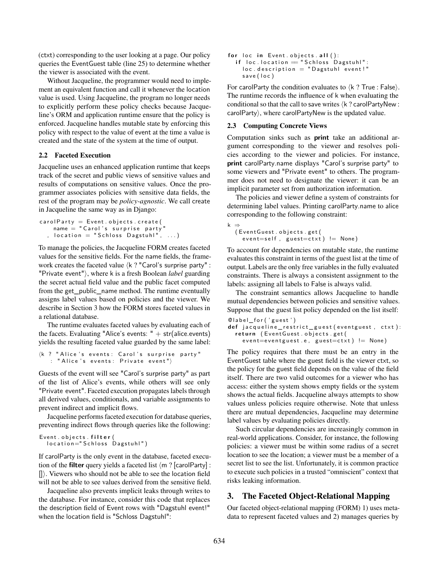(ctxt) corresponding to the user looking at a page. Our policy queries the EventGuest table (line 25) to determine whether the viewer is associated with the event.

Without Jacqueline, the programmer would need to implement an equivalent function and call it whenever the location value is used. Using Jacqueline, the program no longer needs to explicitly perform these policy checks because Jacqueline's ORM and application runtime ensure that the policy is enforced. Jacqueline handles mutable state by enforcing this policy with respect to the value of event at the time a value is created and the state of the system at the time of output.

### 2.2 Faceted Execution

Jacqueline uses an enhanced application runtime that keeps track of the secret and public views of sensitive values and results of computations on sensitive values. Once the programmer associates policies with sensitive data fields, the rest of the program may be *policy-agnostic*. We call create in Jacqueline the same way as in Django:

```
cardParty = Event. objects. create (name = "Carol's surprise party", location = "Schloss Dagstuhl", \ldots)
```
To manage the policies, the Jacqueline FORM creates faceted values for the sensitive fields. For the name fields, the framework creates the faceted value  $\langle k \rangle$  "Carol's surprise party" : "Private event"�, where k is a fresh Boolean *label* guarding the secret actual field value and the public facet computed from the get\_public\_name method. The runtime eventually assigns label values based on policies and the viewer. We describe in Section 3 how the FORM stores faceted values in a relational database.

The runtime evaluates faceted values by evaluating each of the facets. Evaluating "Alice's events: "  $+$  str(alice.events) yields the resulting faceted value guarded by the same label:

```
\langle k \rangle " Alice 's events: Carol 's surprise party"
    : "Alice's events: Private event")
```
Guests of the event will see "Carol's surprise party" as part of the list of Alice's events, while others will see only "Private event". Faceted execution propagates labels through all derived values, conditionals, and variable assignments to prevent indirect and implicit flows.

Jacqueline performs faceted execution for database queries, preventing indirect flows through queries like the following:

```
Event. objects. filter (
  location="Schloss Dagstuhl")
```
If carolParty is the only event in the database, faceted execution of the **filter** query yields a faceted list  $\langle m \rangle$  [carolParty] :  $\vert \vert$ ). Viewers who should not be able to see the location field will not be able to see values derived from the sensitive field.

Jacqueline also prevents implicit leaks through writes to the database. For instance, consider this code that replaces the description field of Event rows with "Dagstuhl event!" when the location field is "Schloss Dagstuhl":

```
for loc in Event . objects . all ():
  if loc. location = "Schloss Dagstuhl":
    loc. description = "Dagstuhl event!"save (loc)
```
For carolParty the condition evaluates to  $\langle k \rangle$ ? True : False $\rangle$ . The runtime records the influence of k when evaluating the conditional so that the call to save writes  $\langle k \rangle$  carolPartyNew : carolParty), where carolPartyNew is the updated value.

## 2.3 Computing Concrete Views

Computation sinks such as **print** take an additional argument corresponding to the viewer and resolves policies according to the viewer and policies. For instance, **print** carolParty.name displays "Carol's surprise party" to some viewers and "Private event" to others. The programmer does not need to designate the viewer: it can be an implicit parameter set from authorization information.

The policies and viewer define a system of constraints for determining label values. Printing carolParty.name to alice corresponding to the following constraint:

k ⇒ (Event Guest. objects. get (  $event = self$ , guest=ctxt) != None)

To account for dependencies on mutable state, the runtime evaluates this constraint in terms of the guest list at the time of output. Labels are the only free variables in the fully evaluated constraints. There is always a consistent assignment to the labels: assigning all labels to False is always valid.

The constraint semantics allows Jacqueline to handle mutual dependencies between policies and sensitive values. Suppose that the guest list policy depended on the list itself:

```
Clabel_for('guest')
def jacqueline_restrict_guest (eventguest, ctxt):
  return (EventGuest.objects.get(
    event = event = set.e, guest = c.txt != None)
```
The policy requires that there must be an entry in the EventGuest table where the guest field is the viewer ctxt, so the policy for the guest field depends on the value of the field itself. There are two valid outcomes for a viewer who has access: either the system shows empty fields or the system shows the actual fields. Jacqueline always attempts to show values unless policies require otherwise. Note that unless there are mutual dependencies, Jacqueline may determine label values by evaluating policies directly.

Such circular dependencies are increasingly common in real-world applications. Consider, for instance, the following policies: a viewer must be within some radius of a secret location to see the location; a viewer must be a member of a secret list to see the list. Unfortunately, it is common practice to execute such policies in a trusted "omniscient" context that risks leaking information.

# 3. The Faceted Object-Relational Mapping

Our faceted object-relational mapping (FORM) 1) uses metadata to represent faceted values and 2) manages queries by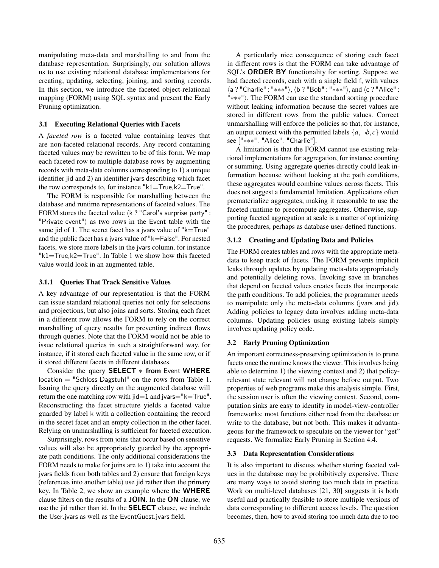manipulating meta-data and marshalling to and from the database representation. Surprisingly, our solution allows us to use existing relational database implementations for creating, updating, selecting, joining, and sorting records. In this section, we introduce the faceted object-relational mapping (FORM) using SQL syntax and present the Early Pruning optimization.

#### 3.1 Executing Relational Queries with Facets

A *faceted row* is a faceted value containing leaves that are non-faceted relational records. Any record containing faceted values may be rewritten to be of this form. We map each faceted row to multiple database rows by augmenting records with meta-data columns corresponding to 1) a unique identifier jid and 2) an identifier jvars describing which facet the row corresponds to, for instance "k1=True,k2=True".

The FORM is responsible for marshalling between the database and runtime representations of faceted values. The FORM stores the faceted value  $\langle k \rangle$  "Carol's surprise party" : "Private event" $\rangle$  as two rows in the Event table with the same jid of 1. The secret facet has a jvars value of " $k=$ True" and the public facet has a jvars value of "k=False". For nested facets, we store more labels in the jvars column, for instance " $k1$ =True, $k2$ =True". In Table 1 we show how this faceted value would look in an augmented table.

#### 3.1.1 Queries That Track Sensitive Values

A key advantage of our representation is that the FORM can issue standard relational queries not only for selections and projections, but also joins and sorts. Storing each facet in a different row allows the FORM to rely on the correct marshalling of query results for preventing indirect flows through queries. Note that the FORM would not be able to issue relational queries in such a straightforward way, for instance, if it stored each faceted value in the same row, or if it stored different facets in different databases.

Consider the query **SELECT** ∗ **from** Event **WHERE** location = "Schloss Dagstuhl" on the rows from Table 1. Issuing the query directly on the augmented database will return the one matching row with  $\text{jid}=1$  and  $\text{jvars}=\text{K}=\text{True}$ ". Reconstructing the facet structure yields a faceted value guarded by label k with a collection containing the record in the secret facet and an empty collection in the other facet. Relying on unmarshalling is sufficient for faceted execution.

Surprisingly, rows from joins that occur based on sensitive values will also be appropriately guarded by the appropriate path conditions. The only additional considerations the FORM needs to make for joins are to 1) take into account the jvars fields from both tables and 2) ensure that foreign keys (references into another table) use jid rather than the primary key. In Table 2, we show an example where the **WHERE** clause filters on the results of a **JOIN**. In the **ON** clause, we use the jid rather than id. In the **SELECT** clause, we include the User.jvars as well as the EventGuest.jvars field.

A particularly nice consequence of storing each facet in different rows is that the FORM can take advantage of SQL's **ORDER BY** functionality for sorting. Suppose we had faceted records, each with a single field f, with values �a ? "Charlie" : "∗∗∗"�,�b ? "Bob" : "∗∗∗"�, and �c ? "Alice" : "∗∗∗"�. The FORM can use the standard sorting procedure without leaking information because the secret values are stored in different rows from the public values. Correct unmarshalling will enforce the policies so that, for instance, an output context with the permitted labels  $\{a, \neg b, c\}$  would see ["\*\*\*", "Alice", "Charlie"].

A limitation is that the FORM cannot use existing relational implementations for aggregation, for instance counting or summing. Using aggregate queries directly could leak information because without looking at the path conditions, these aggregates would combine values across facets. This does not suggest a fundamental limitation. Applications often prematerialize aggregates, making it reasonable to use the faceted runtime to precompute aggregates. Otherwise, supporting faceted aggregation at scale is a matter of optimizing the procedures, perhaps as database user-defined functions.

#### 3.1.2 Creating and Updating Data and Policies

The FORM creates tables and rows with the appropriate metadata to keep track of facets. The FORM prevents implicit leaks through updates by updating meta-data appropriately and potentially deleting rows. Invoking save in branches that depend on faceted values creates facets that incorporate the path conditions. To add policies, the programmer needs to manipulate only the meta-data columns (jvars and jid). Adding policies to legacy data involves adding meta-data columns. Updating policies using existing labels simply involves updating policy code.

#### 3.2 Early Pruning Optimization

An important correctness-preserving optimization is to prune facets once the runtime knows the viewer. This involves being able to determine 1) the viewing context and 2) that policyrelevant state relevant will not change before output. Two properties of web programs make this analysis simple. First, the session user is often the viewing context. Second, computation sinks are easy to identify in model-view-controller frameworks: most functions either read from the database or write to the database, but not both. This makes it advantageous for the framework to speculate on the viewer for "get" requests. We formalize Early Pruning in Section 4.4.

#### 3.3 Data Representation Considerations

It is also important to discuss whether storing faceted values in the database may be prohibitively expensive. There are many ways to avoid storing too much data in practice. Work on multi-level databases [21, 30] suggests it is both useful and practically feasible to store multiple versions of data corresponding to different access levels. The question becomes, then, how to avoid storing too much data due to too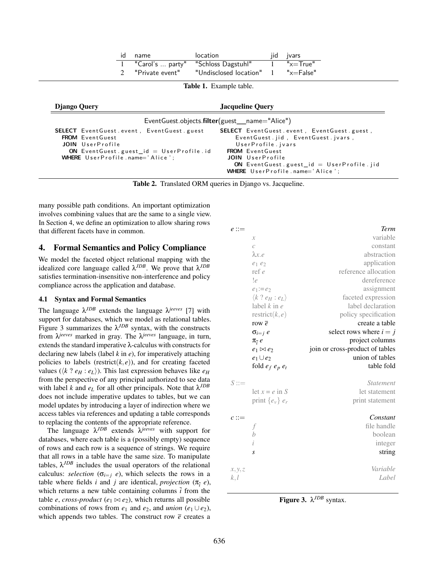|  | id name         | location                            | jid jvars          |
|--|-----------------|-------------------------------------|--------------------|
|  |                 | "Carol's  party" "Schloss Dagstuhl" | $"$ x $=$ True $"$ |
|  | "Private event" | "Undisclosed location"              | 1 "x=False"        |

|  | Table 1. Example table. |  |
|--|-------------------------|--|
|--|-------------------------|--|

| Django Query                                                                                                                                                                      | <b>Jacqueline Ouery</b>                                                                                                                                                                                                                      |  |  |
|-----------------------------------------------------------------------------------------------------------------------------------------------------------------------------------|----------------------------------------------------------------------------------------------------------------------------------------------------------------------------------------------------------------------------------------------|--|--|
|                                                                                                                                                                                   | EventGuest.objects.filter(guest_name="Alice")                                                                                                                                                                                                |  |  |
| <b>SELECT</b> Event Guest event, Event Guest guest<br><b>FROM</b> EventGuest<br>JOIN UserProfile<br>ON EventGuest.guest_id = $UserProfile$ .id<br>WHERE UserProfile.name='Alice': | <b>SELECT</b> EventGuest.event, EventGuest.guest,<br>EventGuest.jid, EventGuest.jvars,<br>UserProfile.jvars<br><b>FROM</b> EventGuest<br>JOIN UserProfile<br>ON EventGuest guest $id = UserProfile$ . jid<br>WHERE UserProfile.name='Alice': |  |  |

Table 2. Translated ORM queries in Django vs. Jacqueline.

many possible path conditions. An important optimization involves combining values that are the same to a single view. In Section 4, we define an optimization to allow sharing rows that different facets have in common.

## 4. Formal Semantics and Policy Compliance

We model the faceted object relational mapping with the idealized core language called  $\lambda^{JDB}$ . We prove that  $\lambda^{JDB}$ satisfies termination-insensitive non-interference and policy compliance across the application and database.

## 4.1 Syntax and Formal Semantics

The language  $\lambda^{JDB}$  extends the language  $\lambda^{jeeves}$  [7] with support for databases, which we model as relational tables. Figure 3 summarizes the  $\lambda^{JDB}$  syntax, with the constructs from λ*jeeves* marked in gray. The λ*jeeves* language, in turn, extends the standard imperative  $\lambda$ -calculus with constructs for declaring new labels (label *k* in *e*), for imperatively attaching policies to labels (restrict $(k, e)$ ), and for creating faceted values ( $\langle k \rangle e_H : e_L \rangle$ ). This last expression behaves like  $e_H$ from the perspective of any principal authorized to see data with label *k* and  $e<sub>L</sub>$  for all other principals. Note that  $\lambda^{JDB}$ does not include imperative updates to tables, but we can model updates by introducing a layer of indirection where we access tables via references and updating a table corresponds to replacing the contents of the appropriate reference.

The language  $\lambda^{JDB}$  extends  $\lambda^{jeeves}$  with support for databases, where each table is a (possibly empty) sequence of rows and each row is a sequence of strings. We require that all rows in a table have the same size. To manipulate tables,  $\lambda^{JDB}$  includes the usual operators of the relational calculus: *selection* ( $\sigma_{i=j}$  *e*), which selects the rows in a table where fields *i* and *j* are identical, *projection* ( $\pi$ <sub>*i*</sub> *e*), which returns a new table containing columns  $\overline{i}$  from the table *e*, *cross-product* ( $e_1 \bowtie e_2$ ), which returns all possible combinations of rows from  $e_1$  and  $e_2$ , and *union*  $(e_1 \cup e_2)$ , which appends two tables. The construct row  $\bar{e}$  creates a

| $e ::=$         |                                       | Term                            |
|-----------------|---------------------------------------|---------------------------------|
|                 | $\mathcal{X}$                         | variable                        |
|                 | $\mathcal{C}_{0}^{(1)}$               | constant                        |
|                 | $\lambda x.e$                         | abstraction                     |
|                 | $e_1e_2$                              | application                     |
|                 | ref e                                 | reference allocation            |
|                 | !e                                    | dereference                     |
|                 | $e_1:=e_2$                            | assignment                      |
|                 | $\langle k \; ? \; e_H : e_L \rangle$ | faceted expression              |
|                 | label $k$ in $e$                      | label declaration               |
|                 | restrict $(k, e)$                     | policy specification            |
|                 | row $\overline{e}$                    | create a table                  |
|                 | $\sigma_{i=j}$ e                      | select rows where $i = j$       |
|                 | $\pi_{\overline{i}} e$                | project columns                 |
|                 | $e_1 \boxtimes e_2$                   | join or cross-product of tables |
|                 | $e_1 \cup e_2$                        | union of tables                 |
|                 | fold $e_f$ $e_p$ $e_t$                | table fold                      |
| $S ::=$         |                                       |                                 |
|                 |                                       | <i><u><b>Statement</b></u></i>  |
|                 | let $x = e$ in S                      | let statement                   |
|                 | print $\{e_v\}$ $e_r$                 | print statement                 |
| $c ::=$         |                                       | Constant                        |
|                 |                                       | file handle                     |
|                 | b                                     | boolean                         |
|                 | $\dot{\iota}$                         | integer                         |
|                 | S                                     | string                          |
|                 |                                       | Variable                        |
| x, y, z<br>k, l |                                       | Label                           |

Figure 3. λ*JDB* syntax.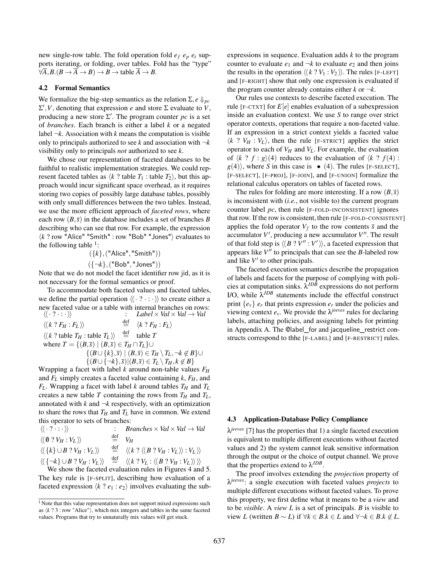new single-row table. The fold operation fold  $e_f$   $e_p$   $e_t$  supports iterating, or folding, over tables. Fold has the "type"  $\forall \overline{A}, B. (B \rightarrow \overline{A} \rightarrow B) \rightarrow B \rightarrow$  table  $\overline{A} \rightarrow B$ .

#### 4.2 Formal Semantics

We formalize the big-step semantics as the relation  $\Sigma, e \Downarrow_{nc}$  $\Sigma'$ , *V*, denoting that expression *e* and store  $\Sigma$  evaluate to *V*, producing a new store  $\Sigma'$ . The program counter *pc* is a set of *branches*. Each branch is either a label *k* or a negated label  $\neg k$ . Association with *k* means the computation is visible only to principals authorized to see  $k$  and association with  $\neg k$ visibility only to principals *not* authorized to see *k*.

We chose our representation of faceted databases to be faithful to realistic implementation strategies. We could represent faceted tables as  $\langle k \rangle$ ? table  $T_1$  : table  $T_2$ , but this approach would incur significant space overhead, as it requires storing two copies of possibly large database tables, possibly with only small differences between the two tables. Instead, we use the more efficient approach of *faceted rows*, where each row  $(B,\bar{s})$  in the database includes a set of branches *B* describing who can see that row. For example, the expression  $\langle k \rangle$  row "Alice" "Smith" : row "Bob" "Jones" $\rangle$  evaluates to the following table  $\frac{1}{1}$ :

> ({*k*},("Alice", "Smith")) ({¬*k*},("Bob", "Jones"))

Note that we do not model the facet identifier row jid, as it is not necessary for the formal semantics or proof.

To accommodate both faceted values and faceted tables, we define the partial operation  $\langle \langle \cdot, \cdot, \cdot \rangle \rangle$  to create either a new faceted value or a table with internal branches on rows:<br> $\langle \langle \cdot, ? \cdot \cdot \cdot \rangle \rangle$ <br> $Label \times Val \times Val \rightarrow Val$  $\therefore$  *Label*  $\times$  *Val*  $\times$  *Val*  $\to$  *Val*  $\stackrel{\text{def}}{=}$   $\langle k \, ? \, F_U \cdot F_V \rangle$  $\langle \langle k ? F_H : F_L \rangle \rangle$  $\langle k \, ? \, F_H : F_L \rangle$  $\langle k \rangle$  ? table  $T_H$  : table  $T_L$   $\rangle \rangle$   $\stackrel{\text{def}}{=}$  table *T* where  $T = \{(B,\overline{s}) \mid (B,\overline{s}) \in T_H \cap T_L\} \cup$  ${(B \cup \{k\}, \overline{s}) \mid (B, \overline{s}) \in T_H \setminus T_L, \neg k \notin B}$ ∪  $\{(B \cup {\neg k}, \overline{s})|(B, \overline{s}) \in T_L \setminus T_H, k \notin B\}$ 

Wrapping a facet with label *k* around non-table values *FH* and *FL* simply creates a faceted value containing *k*, *FH*, and  $F_L$ . Wrapping a facet with label *k* around tables  $T_H$  and  $T_L$ creates a new table *T* containing the rows from  $T_H$  and  $T_L$ , annotated with  $k$  and  $\neg k$  respectively, with an optimization to share the rows that  $T_H$  and  $T_L$  have in common. We extend this operator to sets of branches:

| $\langle\langle \cdot, 2 \cdot : \cdot \rangle\rangle$       |                                | <i>Branches</i> $\times$ <i>Val</i> $\times$ <i>Val</i> $\rightarrow$ <i>Val</i>                                                                                             |
|--------------------------------------------------------------|--------------------------------|------------------------------------------------------------------------------------------------------------------------------------------------------------------------------|
| $\langle\langle \mathbb{0} \, ? \, V_H : V_L \rangle\rangle$ | $\stackrel{\text{def}}{=} V_H$ |                                                                                                                                                                              |
| $\langle \langle \{k\} \cup B ? V_H : V_L \rangle \rangle$   |                                | $\stackrel{\text{def}}{=} \langle \langle k \; ? \; \langle \langle B \; ? \; V_H : V_L \rangle \rangle : V_L \rangle \rangle$                                               |
|                                                              |                                | $\langle \langle \{-k\} \cup B ? V_H : V_L \rangle \rangle \stackrel{\text{def}}{=} \langle \langle k ? V_L : \langle \langle B ? V_H : V_L \rangle \rangle \rangle \rangle$ |
|                                                              |                                | We show the faceted evaluation rules in Figures 4 and 5.                                                                                                                     |

The key rule is [F-SPLIT], describing how evaluation of a faceted expression  $\langle k \rangle e_1 : e_2 \rangle$  involves evaluating the subexpressions in sequence. Evaluation adds *k* to the program counter to evaluate  $e_1$  and  $\neg k$  to evaluate  $e_2$  and then joins the results in the operation  $\langle k \, ? \, V_1 : V_2 \rangle$ . The rules [F-LEFT] and [F-RIGHT] show that only one expression is evaluated if the program counter already contains either  $k$  or  $\neg k$ .

Our rules use contexts to describe faceted execution. The rule [F-CTXT] for  $E[e]$  enables evaluation of a subexpression inside an evaluation context. We use *S* to range over strict operator contexts, operations that require a non-faceted value. If an expression in a strict context yields a faceted value  $\langle k \tImes Y_H : V_L \rangle$ , then the rule [F-STRICT] applies the strict operator to each of  $V_H$  and  $V_L$ . For example, the evaluation of  $\langle k \, ? \, f : g \rangle (4)$  reduces to the evaluation of  $\langle k \, ? \, f(4) :$  $g(4)$ , where *S* in this case is • (4). The rules [F-SELECT], [F-SELECT], [F-PROJ], [F-JOIN], and [F-UNION] formalize the relational calculus operators on tables of faceted rows.

The rules for folding are more interesting. If a row  $(B,\bar{s})$ is inconsistent with (*i.e.*, not visible to) the current program counter label *pc*, then rule [F-FOLD-INCONSISTENT] ignores that row. If the row is consistent, then rule [F-FOLD-CONSISTENT] applies the fold operator  $V_f$  to the row contents  $\bar{s}$  and the accumulator *V'*, producing a new accumulator *V''*. The result of that fold step is  $\langle \langle B \, ? \, V'' \, : V' \rangle \rangle$ , a faceted expression that appears like  $V^{\prime\prime}$  to principals that can see the *B*-labeled row and like  $V'$  to other principals.

The faceted execution semantics describe the propagation of labels and facets for the purpose of complying with policies at computation sinks.  $\lambda^{JDB}$  expressions do not perform I/O, while  $\bar{\lambda}^{JDB}$  statements include the effectful construct print  $\{e_v\}$  *e<sub>r</sub>* that prints expression *e<sub>r</sub>* under the policies and viewing context  $e_v$ . We provide the  $\lambda^{jeeves}$  rules for declaring labels, attaching policies, and assigning labels for printing in Appendix A. The @label\_for and jacqueline\_restrict constructs correspond to thhe [F-LABEL] and [F-RESTRICT] rules.

#### 4.3 Application-Database Policy Compliance

λ*jeeves* [7] has the properties that 1) a single faceted execution is equivalent to multiple different executions without faceted values and 2) the system cannot leak sensitive information through the output or the choice of output channel. We prove that the properties extend to  $\lambda^{JDB}$ .

The proof involves extending the *projection* property of λ*jeeves*: a single execution with faceted values *projects* to multiple different executions without faceted values. To prove this property, we first define what it means to be a *view* and to be *visible*. A *view L* is a set of principals. *B* is visible to view *L* (written *B* ∼ *L*) if  $\forall k \in B. k \in L$  and  $\forall \neg k \in B. k \notin L$ .

<sup>&</sup>lt;sup>1</sup> Note that this value representation does not support mixed expressions such as  $\langle k \rangle$  ? 3 : row "Alice" $\rangle$ , which mix integers and tables in the same faceted values. Programs that try to unnaturally mix values will get stuck.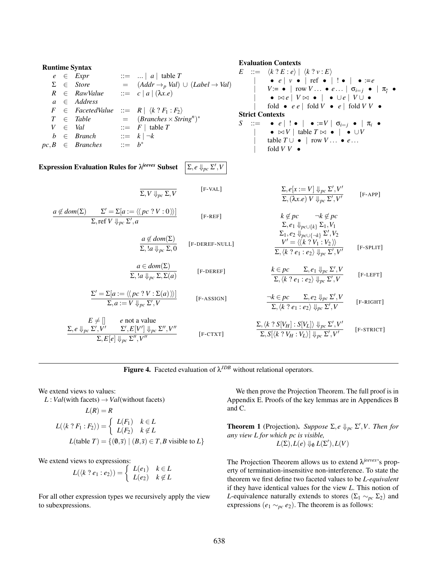| RuntimeException Syntax                                                                                                                                                                                                                                                                                                                                                                                                                                    | Evaluation Contents                                   |                                            |                                  |                                  |                                  |
|------------------------------------------------------------------------------------------------------------------------------------------------------------------------------------------------------------------------------------------------------------------------------------------------------------------------------------------------------------------------------------------------------------------------------------------------------------|-------------------------------------------------------|--------------------------------------------|----------------------------------|----------------------------------|----------------------------------|
| $e \in Expr$                                                                                                                                                                                                                                                                                                                                                                                                                                               | $\therefore$ $a \mid ab \in T$                        | $\therefore$ $\langle k \rangle e \rangle$ | $\langle k \rangle e \rangle$    |                                  |                                  |
| $\Sigma e \in Sfore$                                                                                                                                                                                                                                                                                                                                                                                                                                       | $\therefore$ $a \in Addrs$                            | $\therefore$ $a \in [a \mid (\lambda x.e)$ | $\forall x \in [V \cup \bullet]$ | $\forall x \in [V \cup \bullet]$ | $\forall x \in [V \cup \bullet]$ |
| $\Gamma \in Table$                                                                                                                                                                                                                                                                                                                                                                                                                                         | $\Gamma = R \mid \langle k \rangle P_1 : F_2 \rangle$ | $\forall x \in [V \cup \bullet]$           | $\forall x \in [V \cup \bullet]$ | $\forall x \in [V \cup \bullet]$ |                                  |
| $\Gamma \in Table$                                                                                                                                                                                                                                                                                                                                                                                                                                         | $\Gamma = [AB \cap Ex \times String^n]^*$             | $\forall x \in [S \cup \bullet]$           | $\forall x \in [S \cup \bullet]$ | $\forall x \in [V \cup \bullet]$ |                                  |
| $\Gamma \in Table$                                                                                                                                                                                                                                                                                                                                                                                                                                         | $\Gamma = [AB \cap C]$                                | $\forall x \in [S \cup \bullet]$           | $\forall x \in [S \cup \bullet]$ | $\forall x \in [S \cup \bullet]$ | $\forall x \in [V \cup \bullet]$ |
| $\Gamma = R \mid \text{table } T \cup \text{table } T \cup \text{table } T \cup \text{rule } T \cup \text{rule } T \cup \text{rule } T \cup \text{rule } T \cup \text{rule } T \cup \text{rule } T \cup \text{rule } T \cup \text{rule } T \cup \text{rule } T \cup \text{rule } T \cup \text{rule } T \cup \text{rule } T \cup \text{rule } T \cup \text{rule } T \cup \text{rule } T \cup \text{rule } T \cup \text{rule } T \cup \text{rule } T \cup \$ |                                                       |                                            |                                  |                                  |                                  |

**Figure 4.** Faceted evaluation of  $\lambda^{JDB}$  without relational operators.

We extend views to values:

 $L: Val(with facets) \rightarrow Val(without facets)$ 

$$
L(R) = R
$$
  
\n
$$
L(\langle k ? F_1 : F_2 \rangle) = \begin{cases} L(F_1) & k \in L \\ L(F_2) & k \notin L \end{cases}
$$
  
\n
$$
L(\text{table } T) = \{ (\emptyset, \overline{s}) \mid (B, \overline{s}) \in T, B \text{ visible to } L \}
$$

We extend views to expressions:

$$
L(\langle k \, ? \, e_1 : e_2 \rangle) = \begin{cases} L(e_1) & k \in L \\ L(e_2) & k \notin L \end{cases}
$$

For all other expression types we recursively apply the view to subexpressions.

We then prove the Projection Theorem. The full proof is in Appendix E. Proofs of the key lemmas are in Appendices B and C.

**Theorem 1** (Projection). *Suppose*  $\Sigma$ ,  $e \Downarrow_{pc} \Sigma'$ , *V*. *Then for any view L for which pc is visible,*  $L(\Sigma), L(e) \Downarrow_{\emptyset} L(\Sigma'), L(V)$ 

The Projection Theorem allows us to extend λ*jeeves*'s property of termination-insensitive non-interference. To state the theorem we first define two faceted values to be *L-equivalent* if they have identical values for the view *L*. This notion of *L*-equivalence naturally extends to stores ( $\Sigma_1 \sim_{pc} \Sigma_2$ ) and expressions ( $e_1 \sim_{pc} e_2$ ). The theorem is as follows: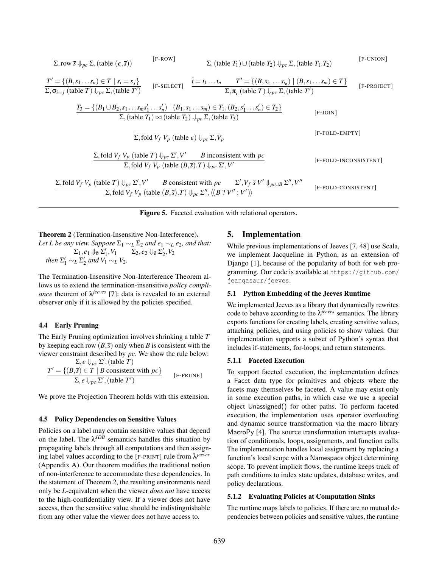$$
\sum_{\substack{r \text{row } \overline{s} \Downarrow_{p_{\mathcal{C}}} \sum_{\substack{r \text{(table } (\epsilon, \overline{s})}} \sum_{\substack{F \text{-RowJ} \\ \sum_{\substack{r \text{(table } T_1}} \sum_{\substack{r \text{(table } T_2}} \sum_{\substack{r \text{(table } T_1 \cup \text{(table } T_2)}} \sum_{\substack{r \text{(table } T_1 \cup \text{(table } T_2}} \sum_{\substack{r \text{(table } T_1 \cup \text{[table } T_2}} \sum_{\substack{r \text{(table } T_1 \cup \text{[table } T_2}} \sum_{\substack{r \text{(table } T_1 \cup \text{[table } T_1}} \sum_{\substack{r \text{(table } T_2 \cup \text{[table } T_2}} \sum_{\substack{r \text{(table } T_1 \cup \text{[table } T_2}} \sum_{\substack{r \text{(table } T_1}} \sum_{\substack{r \text{(table } T_1}} \sum_{\substack{r \text{(table } T_2 \cup \text{[table } T_2}} \sum_{\substack{r \text{(table } T_2 \cup \text{[table } T_2}} \sum_{\substack{r \text{(table } T_1}} \sum_{\substack{r \text{(table } T_2 \cup \text{[table } T_2}} \sum_{\substack{r \text{(table } T_2 \cup \text{[table } T_2}} \sum_{\substack{r \text{(table } T_2 \cup \text{[table } T_2}} \sum_{\substack{r \text{(table } T_2 \cup \text{[table } T_2}} \sum_{\substack{r \text{(table } T_2 \cup \text{[table } T_2}} \sum_{\substack{r \text{(table } T_2 \cup \text{[table } T_2}} \sum_{\substack{r \text{(table } T_2 \cup \text{[table } T_2}} \sum_{\substack{r \text{(table } T_2 \cup \text{[table } T_2}} \sum_{\substack{r \text{(table } T_2 \cup \text{[table } T_2}} \sum_{\substack{r \text{(table } T_2 \cup \text{[table } T_2}} \sum_{\substack{r \text{(table } T_2 \cup \text{[table } T_2}} \sum_{\substack{r \text{(table } T_2 \cup \text{
$$

Figure 5. Faceted evaluation with relational operators.

Theorem 2 (Termination-Insensitive Non-Interference). *Let L be any view. Suppose*  $\Sigma_1 \sim_L \Sigma_2$  *and*  $e_1 \sim_L e_2$ *, and that:*  $\Sigma_1, e_1 \Downarrow_0 \Sigma'_1, V_1$   $\Sigma_2, e_2 \Downarrow_0 \Sigma'_2, V_2$ *then*  $\Sigma'_1 \sim_L \Sigma'_2$  *and*  $V_1 \sim_L V_2$ *.* 

The Termination-Insensitive Non-Interference Theorem allows us to extend the termination-insensitive *policy compliance* theorem of  $\lambda^{jeeves}$  [7]: data is revealed to an external observer only if it is allowed by the policies specified.

## 4.4 Early Pruning

The Early Pruning optimization involves shrinking a table *T* by keeping each row  $(B,\bar{s})$  only when *B* is consistent with the viewer constraint described by *pc*. We show the rule below:

$$
\frac{\Sigma, e \Downarrow_{pc} \Sigma', \text{(table } T)}{\Sigma, e \Downarrow_{pc} \Sigma', \text{(table } T)}
$$
\n
$$
\frac{T' = \{ (B, \overline{s}) \in T \mid B \text{ consistent with } pc \}}{\Sigma, e \Downarrow_{pc} \Sigma', \text{(table } T')} \qquad \text{[F-PRUNE]}
$$

We prove the Projection Theorem holds with this extension.

#### 4.5 Policy Dependencies on Sensitive Values

Policies on a label may contain sensitive values that depend on the label. The  $\lambda^{JDE}$  semantics handles this situation by propagating labels through all computations and then assigning label values according to the [F-PRINT] rule from λ*jeeves* (Appendix A). Our theorem modifies the traditional notion of non-interference to accommodate these dependencies. In the statement of Theorem 2, the resulting environments need only be *L*-equivalent when the viewer *does not* have access to the high-confidentiality view. If a viewer does not have access, then the sensitive value should be indistinguishable from any other value the viewer does not have access to.

## 5. Implementation

While previous implementations of Jeeves [7, 48] use Scala, we implement Jacqueline in Python, as an extension of Django [1], because of the popularity of both for web programming. Our code is available at https://github.com/ jeanqasaur/jeeves.

#### 5.1 Python Embedding of the Jeeves Runtime

We implemented Jeeves as a library that dynamically rewrites code to behave according to the λ*jeeves* semantics. The library exports functions for creating labels, creating sensitive values, attaching policies, and using policies to show values. Our implementation supports a subset of Python's syntax that includes if-statements, for-loops, and return statements.

#### 5.1.1 Faceted Execution

To support faceted execution, the implementation defines a Facet data type for primitives and objects where the facets may themselves be faceted. A value may exist only in some execution paths, in which case we use a special object Unassigned() for other paths. To perform faceted execution, the implementation uses operator overloading and dynamic source transformation via the macro library MacroPy [4]. The source transformation intercepts evaluation of conditionals, loops, assignments, and function calls. The implementation handles local assignment by replacing a function's local scope with a Namespace object determining scope. To prevent implicit flows, the runtime keeps track of path conditions to index state updates, database writes, and policy declarations.

#### 5.1.2 Evaluating Policies at Computation Sinks

The runtime maps labels to policies. If there are no mutual dependencies between policies and sensitive values, the runtime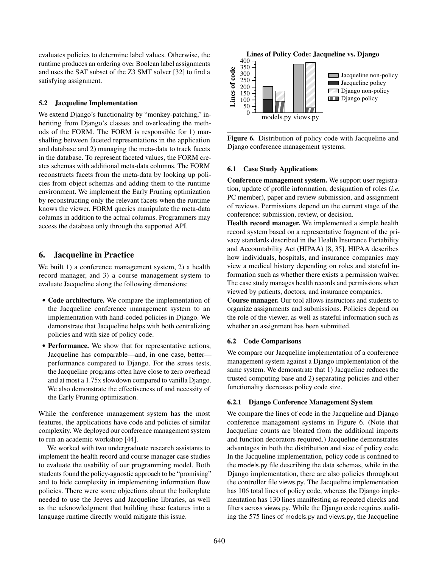evaluates policies to determine label values. Otherwise, the runtime produces an ordering over Boolean label assignments and uses the SAT subset of the Z3 SMT solver [32] to find a satisfying assignment.

#### 5.2 Jacqueline Implementation

We extend Django's functionality by "monkey-patching," inheriting from Django's classes and overloading the methods of the FORM. The FORM is responsible for 1) marshalling between faceted representations in the application and database and 2) managing the meta-data to track facets in the database. To represent faceted values, the FORM creates schemas with additional meta-data columns. The FORM reconstructs facets from the meta-data by looking up policies from object schemas and adding them to the runtime environment. We implement the Early Pruning optimization by reconstructing only the relevant facets when the runtime knows the viewer. FORM queries manipulate the meta-data columns in addition to the actual columns. Programmers may access the database only through the supported API.

## 6. Jacqueline in Practice

We built 1) a conference management system, 2) a health record manager, and 3) a course management system to evaluate Jacqueline along the following dimensions:

- Code architecture. We compare the implementation of the Jacqueline conference management system to an implementation with hand-coded policies in Django. We demonstrate that Jacqueline helps with both centralizing policies and with size of policy code.
- Performance. We show that for representative actions, Jacqueline has comparable—and, in one case, better performance compared to Django. For the stress tests, the Jacqueline programs often have close to zero overhead and at most a 1.75x slowdown compared to vanilla Django. We also demonstrate the effectiveness of and necessity of the Early Pruning optimization.

While the conference management system has the most features, the applications have code and policies of similar complexity. We deployed our conference management system to run an academic workshop [44].

We worked with two undergraduate research assistants to implement the health record and course manager case studies to evaluate the usability of our programming model. Both students found the policy-agnostic approach to be "promising" and to hide complexity in implementing information flow policies. There were some objections about the boilerplate needed to use the Jeeves and Jacqueline libraries, as well as the acknowledgment that building these features into a language runtime directly would mitigate this issue.



Figure 6. Distribution of policy code with Jacqueline and Django conference management systems.

#### 6.1 Case Study Applications

Conference management system. We support user registration, update of profile information, designation of roles (*i.e.* PC member), paper and review submission, and assignment of reviews. Permissions depend on the current stage of the conference: submission, review, or decision.

Health record manager. We implemented a simple health record system based on a representative fragment of the privacy standards described in the Health Insurance Portability and Accountability Act (HIPAA) [8, 35]. HIPAA describes how individuals, hospitals, and insurance companies may view a medical history depending on roles and stateful information such as whether there exists a permission waiver. The case study manages health records and permissions when viewed by patients, doctors, and insurance companies.

Course manager. Our tool allows instructors and students to organize assignments and submissions. Policies depend on the role of the viewer, as well as stateful information such as whether an assignment has been submitted.

#### 6.2 Code Comparisons

We compare our Jacqueline implementation of a conference management system against a Django implementation of the same system. We demonstrate that 1) Jacqueline reduces the trusted computing base and 2) separating policies and other functionality decreases policy code size.

#### 6.2.1 Django Conference Management System

We compare the lines of code in the Jacqueline and Django conference management systems in Figure 6. (Note that Jacqueline counts are bloated from the additional imports and function decorators required.) Jacqueline demonstrates advantages in both the distribution and size of policy code. In the Jacqueline implementation, policy code is confined to the models.py file describing the data schemas, while in the Django implementation, there are also policies throughout the controller file views.py. The Jacqueline implementation has 106 total lines of policy code, whereas the Django implementation has 130 lines manifesting as repeated checks and filters across views.py. While the Django code requires auditing the 575 lines of models.py and views.py, the Jacqueline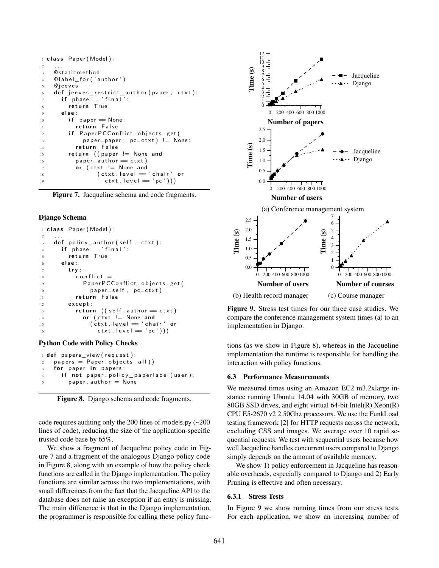```
1 class Paper (Model):
2 \cdots3 @staticmethod
4 © label_for ('author')
5 © jeeves
6 def jeeves_restrict_author (paper, ctxt):
      if phase = 'final':8 return True
9 e l s e :
\mathbf{i} \cdot \mathbf{j} = \mathbf{j} \cdot \mathbf{k} if paper \mathbf{j} = \mathbf{k} None:
11 return False
12 if PaperPCConflict.objects.get(
13 paper=paper, pc=ct \times t != None:
14 return False
15 return ((paper != None and
16 paper . author = ctxt)
17 or (ctxt != None and
18 ( ctxt . level = 'chair' or
19 ctxt.level = 'pc'))
```
Figure 7. Jacqueline schema and code fragments.

#### Django Schema

```
1 class Paper (Model):
2 \cdots3 def policy_author (self, ctxt):
     if phase = ' final':
5 return True
6 e l s e :
       7 t r y :
\begin{array}{ccc} \text{s} & \text{conflict} \end{array}9 PaperPCConflict.objects.get(
10 paper=self, pc=ct \times t)
11 return False
12 e xc e p t :
13 return ((self. author = ctxt)
14 or (ctxt != None and
15 ( ctxt . level = 'chair ' or
16 ctxt.level = 'pc')
```
#### Python Code with Policy Checks

```
1 def papers_view (request):
2 papers = Paper. objects. all()for paper in papers:
4 if not paper.policy_paperlabel(user):
       paper. author = None
```
Figure 8. Django schema and code fragments.

code requires auditing only the 200 lines of models.py (~200 lines of code), reducing the size of the application-specific trusted code base by 65%.

We show a fragment of Jacqueline policy code in Figure 7 and a fragment of the analogous Django policy code in Figure 8, along with an example of how the policy check functions are called in the Django implementation. The policy functions are similar across the two implementations, with small differences from the fact that the Jacqueline API to the database does not raise an exception if an entry is missing. The main difference is that in the Django implementation, the programmer is responsible for calling these policy func-



Figure 9. Stress test times for our three case studies. We compare the conference management system times (a) to an implementation in Django.

tions (as we show in Figure 8), whereas in the Jacqueline implementation the runtime is responsible for handling the interaction with policy functions.

#### 6.3 Performance Measurements

We measured times using an Amazon EC2 m3.2xlarge instance running Ubuntu 14.04 with 30GB of memory, two 80GB SSD drives, and eight virtual 64-bit Intel(R) Xeon(R) CPU E5-2670 v2 2.50Ghz processors. We use the FunkLoad testing framework [2] for HTTP requests across the network, excluding CSS and images. We average over 10 rapid sequential requests. We test with sequential users because how well Jacqueline handles concurrent users compared to Django simply depends on the amount of available memory.

We show 1) policy enforcement in Jacqueline has reasonable overheads, especially compared to Django and 2) Early Pruning is effective and often necessary.

### 6.3.1 Stress Tests

In Figure 9 we show running times from our stress tests. For each application, we show an increasing number of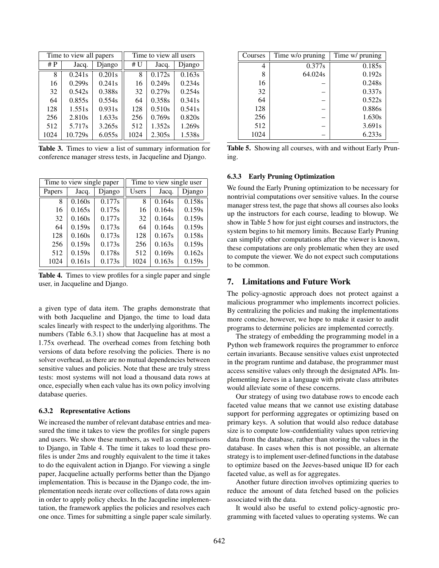| Time to view all papers |         |        | Time to view all users |        |        |
|-------------------------|---------|--------|------------------------|--------|--------|
| # $P$                   | Jacq.   | Django | # U                    | Jacq.  | Django |
| 8                       | 0.241s  | 0.201s | 8                      | 0.172s | 0.163s |
| 16                      | 0.299s  | 0.241s | 16                     | 0.249s | 0.234s |
| 32                      | 0.542s  | 0.388s | 32                     | 0.279s | 0.254s |
| 64                      | 0.855s  | 0.554s | 64                     | 0.358s | 0.341s |
| 128                     | 1.551s  | 0.931s | 128                    | 0.510s | 0.541s |
| 256                     | 2.810s  | 1.633s | 256                    | 0.769s | 0.820s |
| 512                     | 5.717s  | 3.265s | 512                    | 1.352s | 1.269s |
| 1024                    | 10.729s | 6.055s | 1024                   | 2.305s | 1.538s |

Table 3. Times to view a list of summary information for conference manager stress tests, in Jacqueline and Django.

| Time to view single paper |        |        | Time to view single user |        |        |
|---------------------------|--------|--------|--------------------------|--------|--------|
| Papers                    | Jacq.  | Django | Users                    | Jacq.  | Django |
| 8                         | 0.160s | 0.177s | 8                        | 0.164s | 0.158s |
| 16                        | 0.165s | 0.175s | 16                       | 0.164s | 0.159s |
| 32                        | 0.160s | 0.177s | 32                       | 0.164s | 0.159s |
| 64                        | 0.159s | 0.173s | 64                       | 0.164s | 0.159s |
| 128                       | 0.160s | 0.173s | 128                      | 0.167s | 0.158s |
| 256                       | 0.159s | 0.173s | 256                      | 0.163s | 0.159s |
| 512                       | 0.159s | 0.178s | 512                      | 0.169s | 0.162s |
| 1024                      | 0.161s | 0.173s | 1024                     | 0.163s | 0.159s |

Table 4. Times to view profiles for a single paper and single user, in Jacqueline and Django.

a given type of data item. The graphs demonstrate that with both Jacqueline and Django, the time to load data scales linearly with respect to the underlying algorithms. The numbers (Table 6.3.1) show that Jacqueline has at most a 1.75x overhead. The overhead comes from fetching both versions of data before resolving the policies. There is no solver overhead, as there are no mutual dependencies between sensitive values and policies. Note that these are truly stress tests: most systems will not load a thousand data rows at once, especially when each value has its own policy involving database queries.

## 6.3.2 Representative Actions

We increased the number of relevant database entries and measured the time it takes to view the profiles for single papers and users. We show these numbers, as well as comparisons to Django, in Table 4. The time it takes to load these profiles is under 2ms and roughly equivalent to the time it takes to do the equivalent action in Django. For viewing a single paper, Jacqueline actually performs better than the Django implementation. This is because in the Django code, the implementation needs iterate over collections of data rows again in order to apply policy checks. In the Jacqueline implementation, the framework applies the policies and resolves each one once. Times for submitting a single paper scale similarly.

| Courses | Time w/o pruning | Time w/ pruning |
|---------|------------------|-----------------|
| 4       | 0.377s           | 0.185s          |
| 8       | 64.024s          | 0.192s          |
| 16      |                  | 0.248s          |
| 32      |                  | 0.337s          |
| 64      |                  | 0.522s          |
| 128     |                  | 0.886s          |
| 256     |                  | 1.630s          |
| 512     |                  | 3.691s          |
| 1024    |                  | 6.233s          |

Table 5. Showing all courses, with and without Early Pruning.

#### 6.3.3 Early Pruning Optimization

We found the Early Pruning optimization to be necessary for nontrivial computations over sensitive values. In the course manager stress test, the page that shows all courses also looks up the instructors for each course, leading to blowup. We show in Table 5 how for just eight courses and instructors, the system begins to hit memory limits. Because Early Pruning can simplify other computations after the viewer is known, these computations are only problematic when they are used to compute the viewer. We do not expect such computations to be common.

## 7. Limitations and Future Work

The policy-agnostic approach does not protect against a malicious programmer who implements incorrect policies. By centralizing the policies and making the implementations more concise, however, we hope to make it easier to audit programs to determine policies are implemented correctly.

The strategy of embedding the programming model in a Python web framework requires the programmer to enforce certain invariants. Because sensitive values exist unprotected in the program runtime and database, the programmer must access sensitive values only through the designated APIs. Implementing Jeeves in a language with private class attributes would alleviate some of these concerns.

Our strategy of using two database rows to encode each faceted value means that we cannot use existing database support for performing aggregates or optimizing based on primary keys. A solution that would also reduce database size is to compute low-confidentiality values upon retrieving data from the database, rather than storing the values in the database. In cases when this is not possible, an alternate strategy is to implement user-defined functions in the database to optimize based on the Jeeves-based unique ID for each faceted value, as well as for aggregates.

Another future direction involves optimizing queries to reduce the amount of data fetched based on the policies associated with the data.

It would also be useful to extend policy-agnostic programming with faceted values to operating systems. We can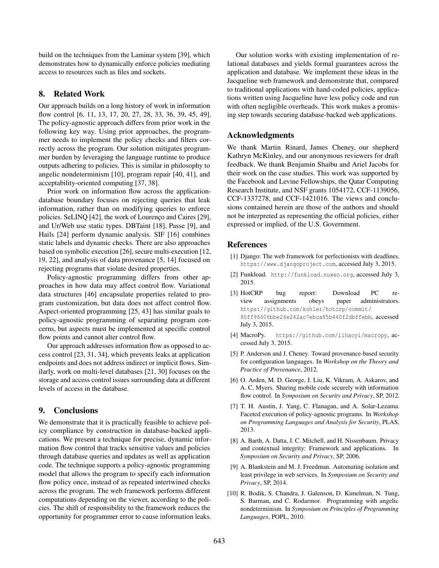build on the techniques from the Laminar system [39], which demonstrates how to dynamically enforce policies mediating access to resources such as files and sockets.

## 8. Related Work

Our approach builds on a long history of work in information flow control [6, 11, 13, 17, 20, 27, 28, 33, 36, 39, 45, 49]. The policy-agnostic approach differs from prior work in the following key way. Using prior approaches, the programmer needs to implement the policy checks and filters correctly across the program. Our solution mitigates programmer burden by leveraging the language runtime to produce outputs adhering to policies. This is similar in philosophy to angelic nondeterminism [10], program repair [40, 41], and acceptability-oriented computing [37, 38].

Prior work on information flow across the applicationdatabase boundary focuses on rejecting queries that leak information, rather than on modifying queries to enforce policies. SeLINQ [42], the work of Lourenço and Caires [29], and Ur/Web use static types. DBTaint [18], Passe [9], and Hails [24] perform dynamic analysis. SIF [16] combines static labels and dynamic checks. There are also approaches based on symbolic execution [26], secure multi-execution [12, 19, 22], and analysis of data provenance [5, 14] focused on rejecting programs that violate desired properties.

Policy-agnostic programming differs from other approaches in how data may affect control flow. Variational data structures [46] encapsulate properties related to program customization, but data does not affect control flow. Aspect-oriented programming [25, 43] has similar goals to policy-agnostic programming of separating program concerns, but aspects must be implemented at specific control flow points and cannot alter control flow.

Our approach addresses information flow as opposed to access control [23, 31, 34], which prevents leaks at application endpoints and does not address indirect or implicit flows. Similarly, work on multi-level databases [21, 30] focuses on the storage and access control issues surrounding data at different levels of access in the database.

# 9. Conclusions

We demonstrate that it is practically feasible to achieve policy compliance by construction in database-backed applications. We present a technique for precise, dynamic information flow control that tracks sensitive values and policies through database queries and updates as well as application code. The technique supports a policy-agnostic programming model that allows the program to specify each information flow policy once, instead of as repeated intertwined checks across the program. The web framework performs different computations depending on the viewer, according to the policies. The shift of responsibility to the framework reduces the opportunity for programmer error to cause information leaks.

Our solution works with existing implementation of relational databases and yields formal guarantees across the application and database. We implement these ideas in the Jacqueline web framework and demonstrate that, compared to traditional applications with hand-coded policies, applications written using Jacqueline have less policy code and run with often negligible overheads. This work makes a promising step towards securing database-backed web applications.

## Acknowledgments

We thank Martin Rinard, James Cheney, our shepherd Kathryn McKinley, and our anonymous reviewers for draft feedback. We thank Benjamin Shaibu and Ariel Jacobs for their work on the case studies. This work was supported by the Facebook and Levine Fellowships, the Qatar Computing Research Institute, and NSF grants 1054172, CCF-1139056, CCF-1337278, and CCF-1421016. The views and conclusions contained herein are those of the authors and should not be interpreted as representing the official policies, either expressed or implied, of the U.S. Government.

## **References**

- [1] Django: The web framework for perfectionists with deadlines. https://www.djangoproject.com, accessed July 3, 2015.
- [2] Funkload. http://funkload.nuxeo.org, accessed July 3, 2015.
- [3] HotCRP bug report: Download PC review assignments obeys paper administrators. https://github.com/kohler/hotcrp/commit/ 80ff96606bbe26e242ac7ebca85b440f2dbffebb, accessed July 3, 2015.
- [4] MacroPy. https://github.com/lihaoyi/macropy, accessed July 3, 2015.
- [5] P. Anderson and J. Cheney. Toward provenance-based security for configuration languages. In *Workshop on the Theory and Practice of Provenance*, 2012.
- [6] O. Arden, M. D. George, J. Liu, K. Vikram, A. Askarov, and A. C. Myers. Sharing mobile code securely with information flow control. In *Symposium on Security and Privacy*, SP, 2012.
- [7] T. H. Austin, J. Yang, C. Flanagan, and A. Solar-Lezama. Faceted execution of policy-agnostic programs. In *Workshop on Programming Languages and Analysis for Security*, PLAS, 2013.
- [8] A. Barth, A. Datta, J. C. Mitchell, and H. Nissenbaum. Privacy and contextual integrity: Framework and applications. In *Symposium on Security and Privacy*, SP, 2006.
- [9] A. Blankstein and M. J. Freedman. Automating isolation and least privilege in web services. In *Symposium on Security and Privacy*, SP, 2014.
- [10] R. Bodik, S. Chandra, J. Galenson, D. Kimelman, N. Tung, S. Barman, and C. Rodarmor. Programming with angelic nondeterminism. In *Symposium on Principles of Programming Languages*, POPL, 2010.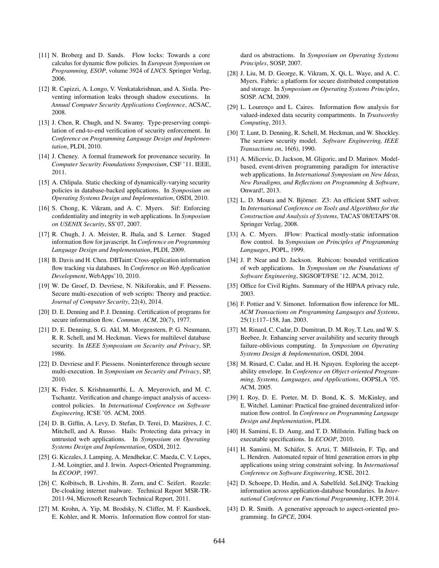- [11] N. Broberg and D. Sands. Flow locks: Towards a core calculus for dynamic flow policies. In *European Symposium on Programming, ESOP*, volume 3924 of *LNCS*. Springer Verlag, 2006.
- [12] R. Capizzi, A. Longo, V. Venkatakrishnan, and A. Sistla. Preventing information leaks through shadow executions. In *Annual Computer Security Applications Conference*, ACSAC, 2008.
- [13] J. Chen, R. Chugh, and N. Swamy. Type-preserving compilation of end-to-end verification of security enforcement. In *Conference on Programming Language Design and Implementation*, PLDI, 2010.
- [14] J. Cheney. A formal framework for provenance security. In *Computer Security Foundations Symposium*, CSF '11. IEEE, 2011.
- [15] A. Chlipala. Static checking of dynamically-varying security policies in database-backed applications. In *Symposium on Operating Systems Design and Implementation*, OSDI, 2010.
- [16] S. Chong, K. Vikram, and A. C. Myers. Sif: Enforcing confidentiality and integrity in web applications. In *Symposium on USENIX Security*, SS'07, 2007.
- [17] R. Chugh, J. A. Meister, R. Jhala, and S. Lerner. Staged information flow for javascript. In *Conference on Programming Language Design and Implementation*, PLDI, 2009.
- [18] B. Davis and H. Chen. DBTaint: Cross-application information flow tracking via databases. In *Conference on Web Application Development*, WebApps'10, 2010.
- [19] W. De Groef, D. Devriese, N. Nikiforakis, and F. Piessens. Secure multi-execution of web scripts: Theory and practice. *Journal of Computer Security*, 22(4), 2014.
- [20] D. E. Denning and P. J. Denning. Certification of programs for secure information flow. *Commun. ACM*, 20(7), 1977.
- [21] D. E. Denning, S. G. Akl, M. Morgenstern, P. G. Neumann, R. R. Schell, and M. Heckman. Views for multilevel database security. In *IEEE Symposium on Security and Privacy*, SP, 1986.
- [22] D. Devriese and F. Piessens. Noninterference through secure multi-execution. In *Symposium on Security and Privacy*, SP, 2010.
- [23] K. Fisler, S. Krishnamurthi, L. A. Meyerovich, and M. C. Tschantz. Verification and change-impact analysis of accesscontrol policies. In *International Conference on Software Engineering*, ICSE '05. ACM, 2005.
- [24] D. B. Giffin, A. Levy, D. Stefan, D. Terei, D. Mazières, J. C. Mitchell, and A. Russo. Hails: Protecting data privacy in untrusted web applications. In *Symposium on Operating Systems Design and Implementation*, OSDI, 2012.
- [25] G. Kiczales, J. Lamping, A. Mendhekar, C. Maeda, C. V. Lopes, J.-M. Loingtier, and J. Irwin. Aspect-Oriented Programming. In *ECOOP*, 1997.
- [26] C. Kolbitsch, B. Livshits, B. Zorn, and C. Seifert. Rozzle: De-cloaking internet malware. Technical Report MSR-TR-2011-94, Microsoft Research Technical Report, 2011.
- [27] M. Krohn, A. Yip, M. Brodsky, N. Cliffer, M. F. Kaashoek, E. Kohler, and R. Morris. Information flow control for stan-

dard os abstractions. In *Symposium on Operating Systems Principles*, SOSP, 2007.

- [28] J. Liu, M. D. George, K. Vikram, X. Qi, L. Waye, and A. C. Myers. Fabric: a platform for secure distributed computation and storage. In *Symposium on Operating Systems Principles*, SOSP. ACM, 2009.
- [29] L. Lourenço and L. Caires. Information flow analysis for valued-indexed data security compartments. In *Trustworthy Computing*, 2013.
- [30] T. Lunt, D. Denning, R. Schell, M. Heckman, and W. Shockley. The seaview security model. *Software Engineering, IEEE Transactions on*, 16(6), 1990.
- [31] A. Milicevic, D. Jackson, M. Gligoric, and D. Marinov. Modelbased, event-driven programming paradigm for interactive web applications. In *International Symposium on New Ideas, New Paradigms, and Reflections on Programming & Software*, Onward!, 2013.
- [32] L. D. Moura and N. Björner. Z3: An efficient SMT solver. In *International Conference on Tools and Algorithms for the Construction and Analysis of Systems*, TACAS'08/ETAPS'08. Springer Verlag, 2008.
- [33] A. C. Myers. JFlow: Practical mostly-static information flow control. In *Symposium on Principles of Programming Languages*, POPL, 1999.
- [34] J. P. Near and D. Jackson. Rubicon: bounded verification of web applications. In *Symposium on the Foundations of Software Engineering*, SIGSOFT/FSE '12. ACM, 2012.
- [35] Office for Civil Rights. Summary of the HIPAA privacy rule, 2003.
- [36] F. Pottier and V. Simonet. Information flow inference for ML. *ACM Transactions on Programming Languages and Systems*, 25(1):117–158, Jan. 2003.
- [37] M. Rinard, C. Cadar, D. Dumitran, D. M. Roy, T. Leu, and W. S. Beebee, Jr. Enhancing server availability and security through failure-oblivious computing. In *Symposium on Operating Systems Design & Implementation*, OSDI, 2004.
- [38] M. Rinard, C. Cadar, and H. H. Nguyen. Exploring the acceptability envelope. In *Conference on Object-oriented Programming, Systems, Languages, and Applications*, OOPSLA '05. ACM, 2005.
- [39] I. Roy, D. E. Porter, M. D. Bond, K. S. McKinley, and E. Witchel. Laminar: Practical fine-grained decentralized information flow control. In *Conference on Programming Language Design and Implementation*, PLDI.
- [40] H. Samimi, E. D. Aung, and T. D. Millstein. Falling back on executable specifications. In *ECOOP*, 2010.
- [41] H. Samimi, M. Schäfer, S. Artzi, T. Millstein, F. Tip, and L. Hendren. Automated repair of html generation errors in php applications using string constraint solving. In *International Conference on Software Engineering*, ICSE, 2012.
- [42] D. Schoepe, D. Hedin, and A. Sabelfeld. SeLINQ: Tracking information across application-database boundaries. In *International Conference on Functional Programming*, ICFP, 2014.
- [43] D. R. Smith. A generative approach to aspect-oriented programming. In *GPCE*, 2004.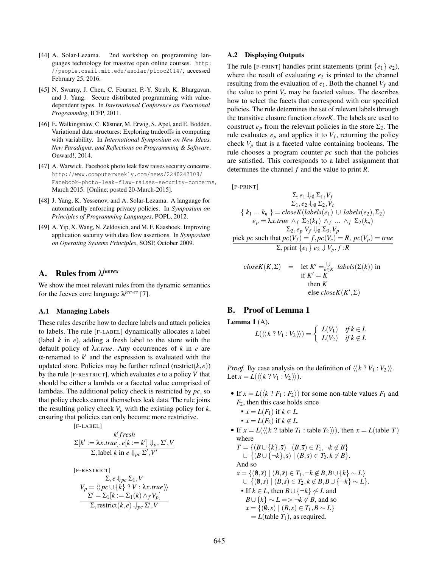- [44] A. Solar-Lezama. 2nd workshop on programming languages technology for massive open online courses. http: //people.csail.mit.edu/asolar/plooc2014/, accessed February 25, 2016.
- [45] N. Swamy, J. Chen, C. Fournet, P.-Y. Strub, K. Bhargavan, and J. Yang. Secure distributed programming with valuedependent types. In *International Conference on Functional Programming*, ICFP, 2011.
- [46] E. Walkingshaw, C. Kästner, M. Erwig, S. Apel, and E. Bodden. Variational data structures: Exploring tradeoffs in computing with variability. In *International Symposium on New Ideas, New Paradigms, and Reflections on Programming & Software*, Onward!, 2014.
- [47] A. Warwick. Facebook photo leak flaw raises security concerns. http://www.computerweekly.com/news/2240242708/ Facebook-photo-leak-flaw-raises-security-concerns, March 2015. [Online; posted 20-March-2015].
- [48] J. Yang, K. Yessenov, and A. Solar-Lezama. A language for automatically enforcing privacy policies. In *Symposium on Principles of Programming Languages*, POPL, 2012.
- [49] A. Yip, X. Wang, N. Zeldovich, and M. F. Kaashoek. Improving application security with data flow assertions. In *Symposium on Operating Systems Principles*, SOSP, October 2009.

# A. Rules from λ*jeeves*

We show the most relevant rules from the dynamic semantics for the Jeeves core language λ*jeeves* [7].

#### A.1 Managing Labels

These rules describe how to declare labels and attach policies to labels. The rule [F-LABEL] dynamically allocates a label (label *k* in *e*), adding a fresh label to the store with the default policy of λ*x*.*true*. Any occurrences of *k* in *e* are α-renamed to  $k'$  and the expression is evaluated with the updated store. Policies may be further refined (restrict( $k, e$ )) by the rule [F-RESTRICT], which evaluates *e* to a policy *V* that should be either a lambda or a faceted value comprised of lambdas. The additional policy check is restricted by *pc*, so that policy checks cannot themselves leak data. The rule joins the resulting policy check  $V_p$  with the existing policy for  $k$ , ensuring that policies can only become more restrictive.

$$
\begin{aligned}\n &[\text{F-LABEL}] \\
 & \quad \mathcal{K} \text{ fresh} \\
 & \Sigma[k' := \lambda x.\text{true}], e[k := k'] \Downarrow_{pc} \Sigma', V \\
 & \Sigma, \text{label } k \text{ in } e \Downarrow_{pc} \Sigma', V'\n \end{aligned}
$$
\n
$$
\begin{aligned}\n &[\text{F-RESTRIC}]\n \end{aligned}
$$

$$
\sum_{\Sigma} e \Downarrow_{pc} \Sigma_1, V
$$
  
\n
$$
V_p = \langle \langle pc \cup \{k\} \rangle : V : \lambda x. true \rangle \rangle
$$
  
\n
$$
\frac{\Sigma' = \Sigma_1[k := \Sigma_1(k) \land_f V_p]}{\Sigma, \text{restrict}(k, e) \Downarrow_{pc} \Sigma', V}
$$

#### A.2 Displaying Outputs

The rule [F-PRINT] handles print statements (print  $\{e_1\}$   $e_2$ ), where the result of evaluating  $e_2$  is printed to the channel resulting from the evaluation of  $e_1$ . Both the channel  $V_f$  and the value to print  $V_c$  may be faceted values. The describes how to select the facets that correspond with our specified policies. The rule determines the set of relevant labels through the transitive closure function *closeK*. The labels are used to construct  $e_p$  from the relevant policies in the store  $\Sigma_2$ . The rule evaluates  $e_p$  and applies it to  $V_f$ , returning the policy check  $V_p$  that is a faceted value containing booleans. The rule chooses a program counter *pc* such that the policies are satisfied. This corresponds to a label assignment that determines the channel *f* and the value to print *R*.

[F-PRINT]

$$
\Sigma, e_1 \Downarrow_0 \Sigma_1, V_f
$$
  
\n
$$
\Sigma_1, e_2 \Downarrow_0 \Sigma_2, V_c
$$
  
\n
$$
\{k_1 ... k_n\} = closeK(labels(e_1) \cup labels(e_2), \Sigma_2)
$$
  
\n
$$
e_p = \lambda x. true \land_f \Sigma_2(k_1) \land_f ... \land_f \Sigma_2(k_n)
$$
  
\n
$$
\Sigma_2, e_p \lor f \Downarrow_0 \Sigma_3, V_p
$$
  
\npick pc such that  $pc(V_f) = f, pc(V_c) = R, pc(V_p) = true$   
\n
$$
\Sigma, print \{e_1\} e_2 \Downarrow V_p, f: R
$$

$$
closeK(K,\Sigma) = \text{let } K' = \underset{k \in K}{\overset{\cup}{\text{let}}} labels(\Sigma(k)) \text{ in}
$$
\n
$$
\text{if } K' = K
$$
\n
$$
\text{then } K
$$
\n
$$
\text{else } closeK(K',\Sigma)
$$

## B. Proof of Lemma 1

Lemma  $1(A)$ .

$$
L(\langle\langle k ? V_1 : V_2 \rangle\rangle) = \begin{cases} L(V_1) & \text{if } k \in L \\ L(V_2) & \text{if } k \notin L \end{cases}
$$

*Proof.* By case analysis on the definition of  $\langle k \rangle \langle V_1 : V_2 \rangle$ . Let  $x = L(\langle \langle k \rangle : V_1 : V_2 \rangle).$ 

- If  $x = L(\langle k \rangle : F_1 : F_2 \rangle)$  for some non-table values  $F_1$  and *F*2, then this case holds since
	- $x = L(F_1)$  if  $k \in L$ .

$$
x = L(F_2) \text{ if } k \notin L.
$$

• If  $x = L(\langle \langle k \rangle \text{ table } T_1 \text{ : table } T_2 \rangle)$ , then  $x = L(\text{table } T)$ where  $f(1) = \frac{1}{p}$ ,  $f(2) = \frac{1}{p}$ ,  $f(3) = \frac{1}{p}$ 

$$
T = \{ (B \cup \{k\}, \overline{s}) \mid (B, \overline{s}) \in T_1, \neg k \notin B \}
$$
  
\n
$$
\cup \{ (B \cup \{\neg k\}, \overline{s}) \mid (B, \overline{s}) \in T_2, k \notin B \}.
$$
  
\nAnd so  
\n
$$
x = \{ (0, \overline{s}) \mid (B, \overline{s}) \in T_1, \neg k \notin B, B \cup \{k\} \sim L \}
$$
  
\n
$$
\cup \{ (0, \overline{s}) \mid (B, \overline{s}) \in T_2, k \notin B, B \cup \{\neg k\} \sim L \}.
$$
  
\n• If  $k \in L$ , then  $B \cup \{\neg k\} \not\sim L$  and  
\n
$$
B \cup \{ k\} \sim L \Rightarrow \neg k \not\subset B \text{ and so}
$$

$$
B \cup \{K\} \sim L \Longrightarrow \neg K \not\in B, \text{ and so}
$$

$$
x = \{(\emptyset, \overline{s}) \mid (B, \overline{s}) \in T_1, B \sim L\}
$$

 $= L$ (table  $T_1$ ), as required.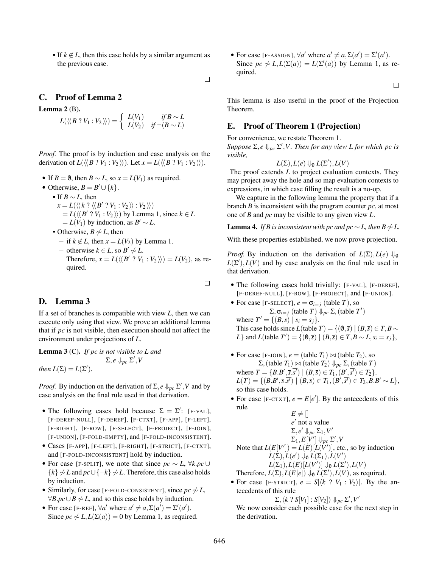If  $k \notin L$ , then this case holds by a similar argument as the previous case.

 $\Box$ 

 $\Box$ 

# C. Proof of Lemma 2

Lemma  $2(B)$ .

 $L(\langle \langle B \rangle^2 V_1 : V_2 \rangle \rangle) = \begin{cases} L(V_1) & \text{if } B \sim L \\ L(V_2) & \text{if } \neg(B \sim L) \end{cases}$ 

*Proof.* The proof is by induction and case analysis on the derivation of  $L(\langle B \cdot Y_1 : V_2 \rangle)$ . Let  $x = L(\langle B \cdot Y_1 : V_2 \rangle)$ .

- If  $B = \emptyset$ , then  $B \sim L$ , so  $x = L(V_1)$  as required.
- Otherwise,  $B = B' \cup \{k\}.$ 
	- If *B* ∼ *L*, then
		- $x = L(\langle \langle k ? \langle \langle B' ? V_1 : V_2 \rangle \rangle : V_2 \rangle)$  $= L(\langle B' ? V_1 : V_2 \rangle)$  by Lemma 1, since  $k \in L$  $= L(V_1)$  by induction, as  $B' \sim L$ .
		- Otherwise,  $B \not\sim L$ , then
			- $-$  if  $k \notin L$ , then  $x = L(V_2)$  by Lemma 1.
			- − otherwise  $k \in L$ , so  $B' \not\sim L$ . Therefore,  $x = L(\langle \langle B' \rangle : V_1 : V_2 \rangle) = L(V_2)$ , as required.

## D. Lemma 3

If a set of branches is compatible with view *L*, then we can execute only using that view. We prove an additional lemma that if *pc* is not visible, then execution should not affect the environment under projections of *L*.

Lemma 3 (C). *If pc is not visible to L and*  $\Sigma, e \Downarrow_{pc} \Sigma', V$ *then*  $L(\Sigma) = L(\Sigma').$ 

*Proof.* By induction on the derivation of  $\Sigma$ ,  $e \Downarrow_{pc} \Sigma'$ ,  $V$  and by case analysis on the final rule used in that derivation.

- The following cases hold because  $\Sigma = \Sigma'$ : [F-VAL], [F-DEREF-NULL], [F-DEREF], [F-CTXT], [F-APP], [F-LEFT], [F-RIGHT], [F-ROW], [F-SELECT], [F-PROJECT], [F-JOIN], [F-UNION], [F-FOLD-EMPTY], and [F-FOLD-INCONSISTENT].
- Cases [F-APP], [F-LEFT], [F-RIGHT], [F-STRICT], [F-CTXT], and [F-FOLD-INCONSISTENT] hold by induction.
- For case [F-SPLIT], we note that since  $pc \sim L$ ,  $\forall k. pc \cup$  $\{k\} \not\sim L$  and  $pc \cup \{\neg k\} \not\sim L$ . Therefore, this case also holds by induction.
- Similarly, for case [F-FOLD-CONSISTENT], since  $pc \sim L$ ,  $\forall B. pc \cup B \not\sim L$ , and so this case holds by induction.
- For case [F-REF],  $\forall a'$  where  $a' \neq a, \Sigma(a') = \Sigma'(a')$ . Since  $pc \sim L$ ,  $L(\Sigma(a)) = 0$  by Lemma 1, as required.

• For case [F-ASSIGN],  $\forall a'$  where  $a' \neq a, \Sigma(a') = \Sigma'(a')$ . Since  $pc \nsim L$ ,  $L(\Sigma(a)) = L(\Sigma'(a))$  by Lemma 1, as required.

 $\Box$ 

This lemma is also useful in the proof of the Projection Theorem.

## E. Proof of Theorem 1 (Projection)

For convenience, we restate Theorem 1.

 $Suppose \Sigma, e \Downarrow_{pc} \Sigma', V. Then for any view L for which pc is$ *visible,*

 $L(\Sigma), L(e) \Downarrow_{\emptyset} L(\Sigma'), L(V)$ 

The proof extends *L* to project evaluation contexts. They may project away the hole and so map evaluation contexts to expressions, in which case filling the result is a no-op.

We capture in the following lemma the property that if a branch *B* is inconsistent with the program counter *pc*, at most one of *B* and *pc* may be visible to any given view *L*.

**Lemma 4.** *If B is inconsistent with pc and pc*  $\sim$  *L*, *then*  $B \not\sim L$ .

With these properties established, we now prove projection.

*Proof.* By induction on the derivation of  $L(\Sigma)$ ,  $L(e) \Downarrow_{\emptyset}$  $L(\Sigma'), L(V)$  and by case analysis on the final rule used in that derivation.

- The following cases hold trivially: [F-VAL], [F-DEREF], [F-DEREF-NULL], [F-ROW], [F-PROJECT], and [F-UNION].
- For case [F-SELECT],  $e = \sigma_{i=j}$  (table *T*), so  $\Sigma$ ,  $\sigma_{i=j}$  (table *T*)  $\Downarrow_{pc}$  Σ, (table *T'*) where  $T' = \{(B,\overline{s}) | s_i = s_j\}.$ This case holds since *L*(table *T*) = { $(0, \bar{s}) | (B, \bar{s}) \in T$ , *B* ∼ *L*} and *L*(table *T'*) = {( $\emptyset$ ,*s*) | ( $B$ ,*s*) ∈ *T*, $B \sim L$ ,  $s_i = s_j$ },
- For case [F-JOIN],  $e = (table T_1) \bowtie (table T_2)$ , so  $Σ,$ (table *T*<sub>1</sub>)  $Join$  (table *T*<sub>2</sub>)  $↓$ <sub>*pc*</sub>  $Σ,$  (table *T*) where  $T = \{B.B', \overline{s}.s'\} | (B, \overline{s}) \in T_1, (B', s') \in T_2\}.$  $L(T) = \{ (B.B', \bar{s}.s') \mid (B, \bar{s}) \in T_1, (B', s') \in T_2, B.B' \sim L \},\$ so this case holds.
- For case [F-CTXT],  $e = E[e']$ . By the antecedents of this rule

$$
E \neq []
$$
  
\ne' not a value  
\n
$$
\Sigma, e' \Downarrow_{pc} \Sigma_1, V'
$$
  
\n
$$
\Sigma_1, E[V'] \Downarrow_{pc} \Sigma', V
$$
  
\nNote that  $L(E[V']) = L(E)[L(V')]$ , etc., so by induction  
\n
$$
L(\Sigma), L(e') \Downarrow_0 L(\Sigma_1), L(V')
$$
  
\n
$$
L(\Sigma_1), L(E)[L(V')] \Downarrow_0 L(\Sigma'), L(V)
$$
  
\nTherefore,  $L(\Sigma), L(E[e]) \Downarrow_0 L(\Sigma'), L(V)$ , as required.

• For case [F-STRICT],  $e = S[\langle k \, ? \, V_1 : V_2 \rangle]$ . By the antecedents of this rule

 $\Sigma, \langle k \rangle$  ?  $S[V_1] : S[V_2] \rangle \Downarrow_{pc} \Sigma', V'$ 

We now consider each possible case for the next step in the derivation.